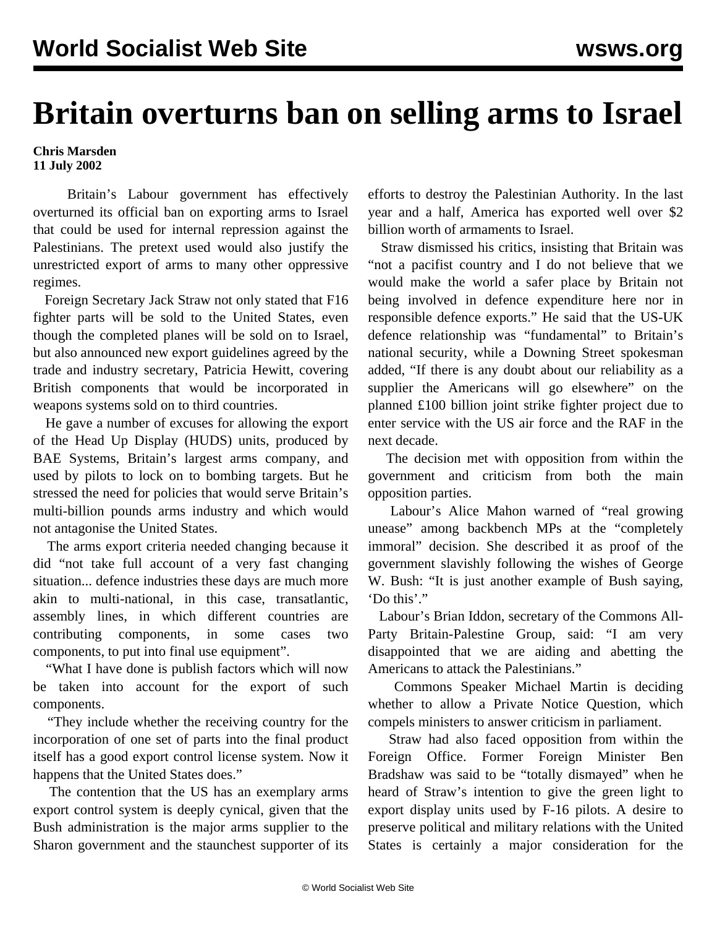## **Britain overturns ban on selling arms to Israel**

## **Chris Marsden 11 July 2002**

 Britain's Labour government has effectively overturned its official ban on exporting arms to Israel that could be used for internal repression against the Palestinians. The pretext used would also justify the unrestricted export of arms to many other oppressive regimes.

 Foreign Secretary Jack Straw not only stated that F16 fighter parts will be sold to the United States, even though the completed planes will be sold on to Israel, but also announced new export guidelines agreed by the trade and industry secretary, Patricia Hewitt, covering British components that would be incorporated in weapons systems sold on to third countries.

 He gave a number of excuses for allowing the export of the Head Up Display (HUDS) units, produced by BAE Systems, Britain's largest arms company, and used by pilots to lock on to bombing targets. But he stressed the need for policies that would serve Britain's multi-billion pounds arms industry and which would not antagonise the United States.

 The arms export criteria needed changing because it did "not take full account of a very fast changing situation... defence industries these days are much more akin to multi-national, in this case, transatlantic, assembly lines, in which different countries are contributing components, in some cases two components, to put into final use equipment".

 "What I have done is publish factors which will now be taken into account for the export of such components.

 "They include whether the receiving country for the incorporation of one set of parts into the final product itself has a good export control license system. Now it happens that the United States does."

 The contention that the US has an exemplary arms export control system is deeply cynical, given that the Bush administration is the major arms supplier to the Sharon government and the staunchest supporter of its efforts to destroy the Palestinian Authority. In the last year and a half, America has exported well over \$2 billion worth of armaments to Israel.

 Straw dismissed his critics, insisting that Britain was "not a pacifist country and I do not believe that we would make the world a safer place by Britain not being involved in defence expenditure here nor in responsible defence exports." He said that the US-UK defence relationship was "fundamental" to Britain's national security, while a Downing Street spokesman added, "If there is any doubt about our reliability as a supplier the Americans will go elsewhere" on the planned £100 billion joint strike fighter project due to enter service with the US air force and the RAF in the next decade.

 The decision met with opposition from within the government and criticism from both the main opposition parties.

 Labour's Alice Mahon warned of "real growing unease" among backbench MPs at the "completely immoral" decision. She described it as proof of the government slavishly following the wishes of George W. Bush: "It is just another example of Bush saying, 'Do this'."

 Labour's Brian Iddon, secretary of the Commons All-Party Britain-Palestine Group, said: "I am very disappointed that we are aiding and abetting the Americans to attack the Palestinians."

 Commons Speaker Michael Martin is deciding whether to allow a Private Notice Question, which compels ministers to answer criticism in parliament.

 Straw had also faced opposition from within the Foreign Office. Former Foreign Minister Ben Bradshaw was said to be "totally dismayed" when he heard of Straw's intention to give the green light to export display units used by F-16 pilots. A desire to preserve political and military relations with the United States is certainly a major consideration for the